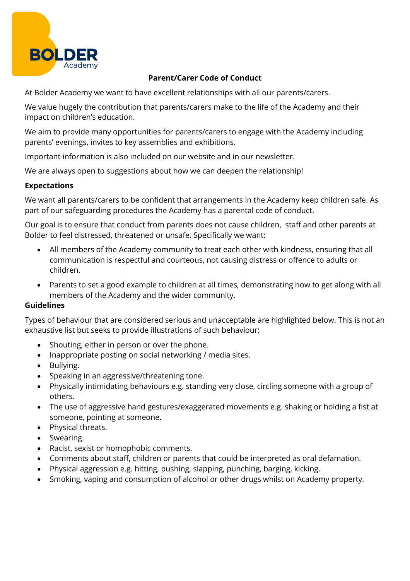

# **Parent/Carer Code of Conduct**

At Bolder Academy we want to have excellent relationships with all our parents/carers.

We value hugely the contribution that parents/carers make to the life of the Academy and their impact on children's education.

We aim to provide many opportunities for parents/carers to engage with the Academy including parents' evenings, invites to key assemblies and exhibitions.

Important information is also included on our website and in our newsletter.

We are always open to suggestions about how we can deepen the relationship!

# **Expectations**

We want all parents/carers to be confident that arrangements in the Academy keep children safe. As part of our safeguarding procedures the Academy has a parental code of conduct.

Our goal is to ensure that conduct from parents does not cause children, staff and other parents at Bolder to feel distressed, threatened or unsafe. Specifically we want:

- All members of the Academy community to treat each other with kindness, ensuring that all communication is respectful and courteous, not causing distress or offence to adults or children.
- Parents to set a good example to children at all times, demonstrating how to get along with all members of the Academy and the wider community.

### **Guidelines**

Types of behaviour that are considered serious and unacceptable are highlighted below. This is not an exhaustive list but seeks to provide illustrations of such behaviour:

- Shouting, either in person or over the phone.
- Inappropriate posting on social networking / media sites.
- Bullying.
- Speaking in an aggressive/threatening tone.
- Physically intimidating behaviours e.g. standing very close, circling someone with a group of others.
- The use of aggressive hand gestures/exaggerated movements e.g. shaking or holding a fist at someone, pointing at someone.
- Physical threats.
- Swearing.
- Racist, sexist or homophobic comments.
- Comments about staff, children or parents that could be interpreted as oral defamation.
- Physical aggression e.g. hitting, pushing, slapping, punching, barging, kicking.
- Smoking, vaping and consumption of alcohol or other drugs whilst on Academy property.